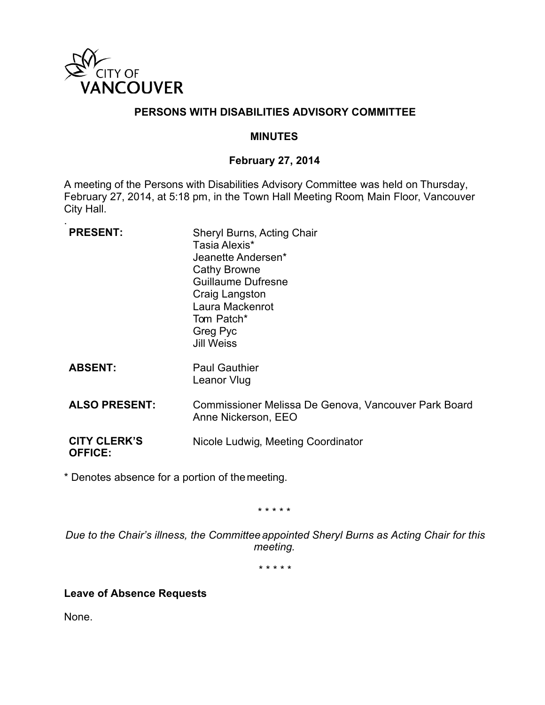

## **PERSONS WITH DISABILITIES ADVISORY COMMITTEE**

#### **MINUTES**

#### **February 27, 2014**

A meeting of the Persons with Disabilities Advisory Committee was held on Thursday, February 27, 2014, at 5:18 pm, in the Town Hall Meeting Room, Main Floor, Vancouver City Hall.

| <b>PRESENT:</b>                       | Sheryl Burns, Acting Chair<br>Tasia Alexis*<br>Jeanette Andersen*<br>Cathy Browne<br><b>Guillaume Dufresne</b><br>Craig Langston<br>Laura Mackenrot<br>Tom Patch*<br>Greg Pyc<br><b>Jill Weiss</b> |
|---------------------------------------|----------------------------------------------------------------------------------------------------------------------------------------------------------------------------------------------------|
| <b>ABSENT:</b>                        | <b>Paul Gauthier</b><br>Leanor Vlug                                                                                                                                                                |
| <b>ALSO PRESENT:</b>                  | Commissioner Melissa De Genova, Vancouver Park Board<br>Anne Nickerson, EEO                                                                                                                        |
| <b>CITY CLERK'S</b><br><b>OFFICE:</b> | Nicole Ludwig, Meeting Coordinator                                                                                                                                                                 |

\* Denotes absence for a portion of the meeting.

\* \* \* \* \*

*Due to the Chair's illness, the Committee appointed Sheryl Burns as Acting Chair for this meeting.*

*\* \* \* \* \**

**Leave of Absence Requests**

None.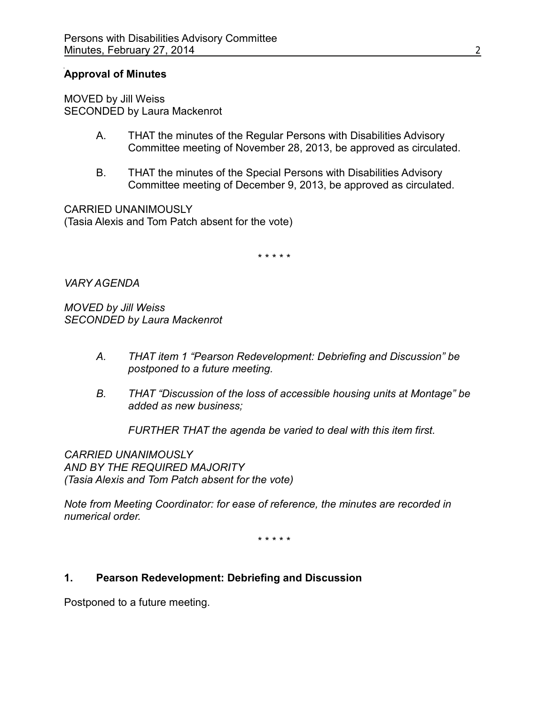## **Approval of Minutes**

MOVED by Jill Weiss SECONDED by Laura Mackenrot

- A. THAT the minutes of the Regular Persons with Disabilities Advisory Committee meeting of November 28, 2013, be approved as circulated.
- B. THAT the minutes of the Special Persons with Disabilities Advisory Committee meeting of December 9, 2013, be approved as circulated.

CARRIED UNANIMOUSLY (Tasia Alexis and Tom Patch absent for the vote)

\* \* \* \* \*

*VARY AGENDA*

*MOVED by Jill Weiss SECONDED by Laura Mackenrot*

- *A. THAT item 1 "Pearson Redevelopment: Debriefing and Discussion" be postponed to a future meeting.*
- *B. THAT "Discussion of the loss of accessible housing units at Montage" be added as new business;*

*FURTHER THAT the agenda be varied to deal with this item first.*

*CARRIED UNANIMOUSLY AND BY THE REQUIRED MAJORITY (Tasia Alexis and Tom Patch absent for the vote)*

*Note from Meeting Coordinator: for ease of reference, the minutes are recorded in numerical order.*

\* \* \* \* \*

### **1. Pearson Redevelopment: Debriefing and Discussion**

Postponed to a future meeting.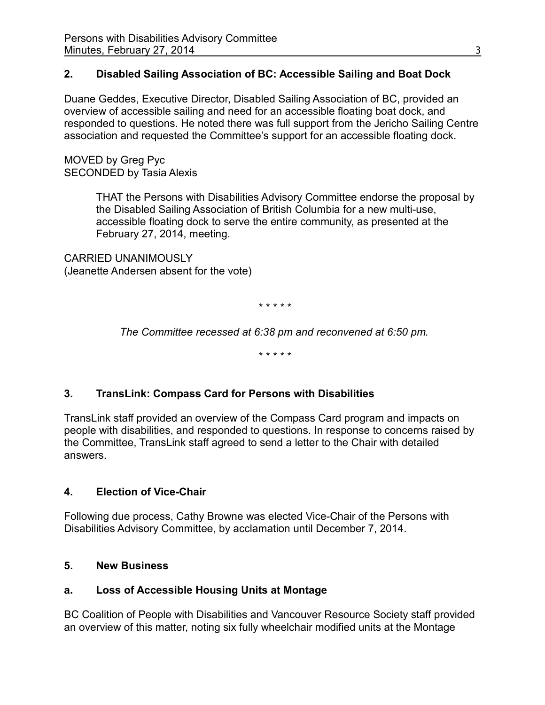## **2. Disabled Sailing Association of BC: Accessible Sailing and Boat Dock**

Duane Geddes, Executive Director, Disabled Sailing Association of BC, provided an overview of accessible sailing and need for an accessible floating boat dock, and responded to questions. He noted there was full support from the Jericho Sailing Centre association and requested the Committee's support for an accessible floating dock.

MOVED by Greg Pyc SECONDED by Tasia Alexis

> THAT the Persons with Disabilities Advisory Committee endorse the proposal by the Disabled Sailing Association of British Columbia for a new multi-use, accessible floating dock to serve the entire community, as presented at the February 27, 2014, meeting.

CARRIED UNANIMOUSLY (Jeanette Andersen absent for the vote)

*\* \* \* \* \**

*The Committee recessed at 6:38 pm and reconvened at 6:50 pm.*

*\* \* \* \* \**

## **3. TransLink: Compass Card for Persons with Disabilities**

TransLink staff provided an overview of the Compass Card program and impacts on people with disabilities, and responded to questions. In response to concerns raised by the Committee, TransLink staff agreed to send a letter to the Chair with detailed answers.

## **4. Election of Vice-Chair**

Following due process, Cathy Browne was elected Vice-Chair of the Persons with Disabilities Advisory Committee, by acclamation until December 7, 2014.

### **5. New Business**

# **a. Loss of Accessible Housing Units at Montage**

BC Coalition of People with Disabilities and Vancouver Resource Society staff provided an overview of this matter, noting six fully wheelchair modified units at the Montage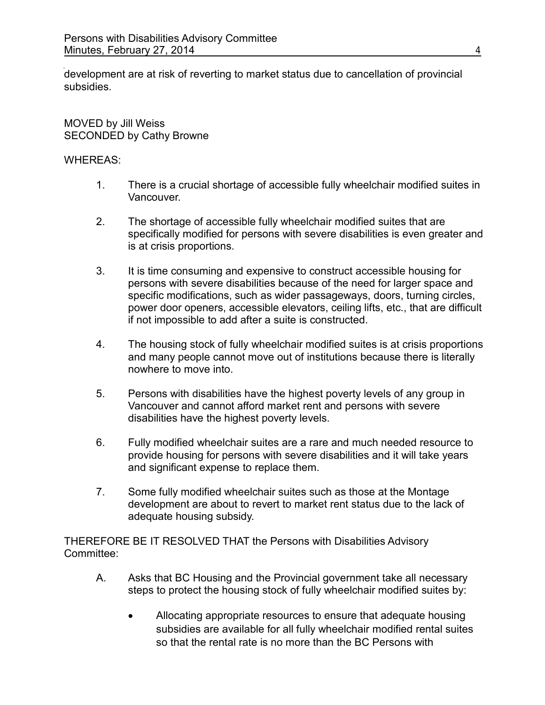development are at risk of reverting to market status due to cancellation of provincial subsidies.

MOVED by Jill Weiss SECONDED by Cathy Browne

#### WHEREAS:

- 1. There is a crucial shortage of accessible fully wheelchair modified suites in Vancouver.
- 2. The shortage of accessible fully wheelchair modified suites that are specifically modified for persons with severe disabilities is even greater and is at crisis proportions.
- 3. It is time consuming and expensive to construct accessible housing for persons with severe disabilities because of the need for larger space and specific modifications, such as wider passageways, doors, turning circles, power door openers, accessible elevators, ceiling lifts, etc., that are difficult if not impossible to add after a suite is constructed.
- 4. The housing stock of fully wheelchair modified suites is at crisis proportions and many people cannot move out of institutions because there is literally nowhere to move into.
- 5. Persons with disabilities have the highest poverty levels of any group in Vancouver and cannot afford market rent and persons with severe disabilities have the highest poverty levels.
- 6. Fully modified wheelchair suites are a rare and much needed resource to provide housing for persons with severe disabilities and it will take years and significant expense to replace them.
- 7. Some fully modified wheelchair suites such as those at the Montage development are about to revert to market rent status due to the lack of adequate housing subsidy.

THEREFORE BE IT RESOLVED THAT the Persons with Disabilities Advisory Committee:

- A. Asks that BC Housing and the Provincial government take all necessary steps to protect the housing stock of fully wheelchair modified suites by:
	- Allocating appropriate resources to ensure that adequate housing subsidies are available for all fully wheelchair modified rental suites so that the rental rate is no more than the BC Persons with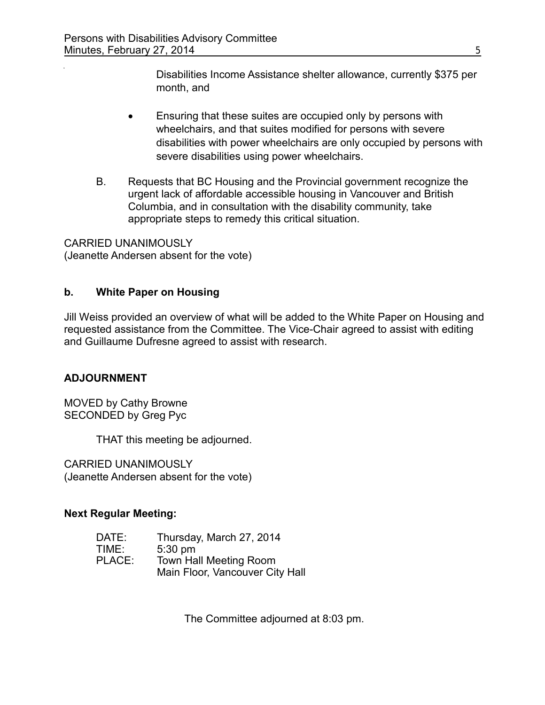Disabilities Income Assistance shelter allowance, currently \$375 per month, and

- Ensuring that these suites are occupied only by persons with wheelchairs, and that suites modified for persons with severe disabilities with power wheelchairs are only occupied by persons with severe disabilities using power wheelchairs.
- B. Requests that BC Housing and the Provincial government recognize the urgent lack of affordable accessible housing in Vancouver and British Columbia, and in consultation with the disability community, take appropriate steps to remedy this critical situation.

CARRIED UNANIMOUSLY (Jeanette Andersen absent for the vote)

## **b. White Paper on Housing**

Jill Weiss provided an overview of what will be added to the White Paper on Housing and requested assistance from the Committee. The Vice-Chair agreed to assist with editing and Guillaume Dufresne agreed to assist with research.

# **ADJOURNMENT**

MOVED by Cathy Browne SECONDED by Greg Pyc

THAT this meeting be adjourned.

CARRIED UNANIMOUSLY (Jeanette Andersen absent for the vote)

# **Next Regular Meeting:**

| DATE:  | Thursday, March 27, 2014        |
|--------|---------------------------------|
| TIME:  | $5:30$ pm                       |
| PLACE: | <b>Town Hall Meeting Room</b>   |
|        | Main Floor, Vancouver City Hall |

The Committee adjourned at 8:03 pm.